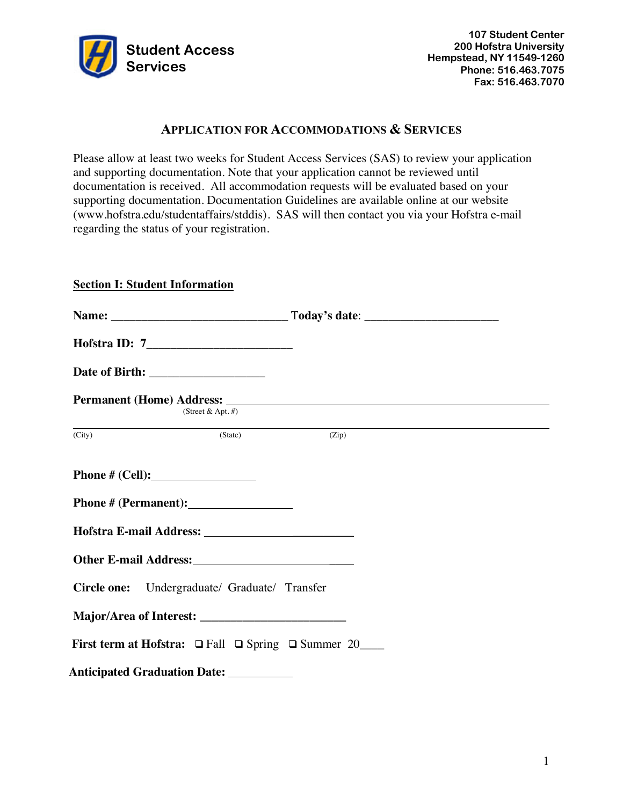

# **APPLICATION FOR ACCOMMODATIONS & SERVICES**

 Please allow at least two weeks for Student Access Services (SAS) to review your application and supporting documentation. Note that your application cannot be reviewed until documentation is received. All accommodation requests will be evaluated based on your supporting documentation. Documentation Guidelines are available online at our website (<www.hofstra.edu/studentaffairs/stddis>). SAS will then contact you via your Hofstra e-mail regarding the status of your registration.

### **Section I: Student Information**

| Date of Birth: ___________________                                |       |  |
|-------------------------------------------------------------------|-------|--|
| (Street & Apt. $#$ )                                              |       |  |
| (State)<br>(City)                                                 | (Zip) |  |
|                                                                   |       |  |
|                                                                   |       |  |
| Other E-mail Address:<br><u> </u>                                 |       |  |
| Circle one: Undergraduate/ Graduate/ Transfer                     |       |  |
|                                                                   |       |  |
| First term at Hofstra: $\Box$ Fall $\Box$ Spring $\Box$ Summer 20 |       |  |
| Anticipated Graduation Date: __________                           |       |  |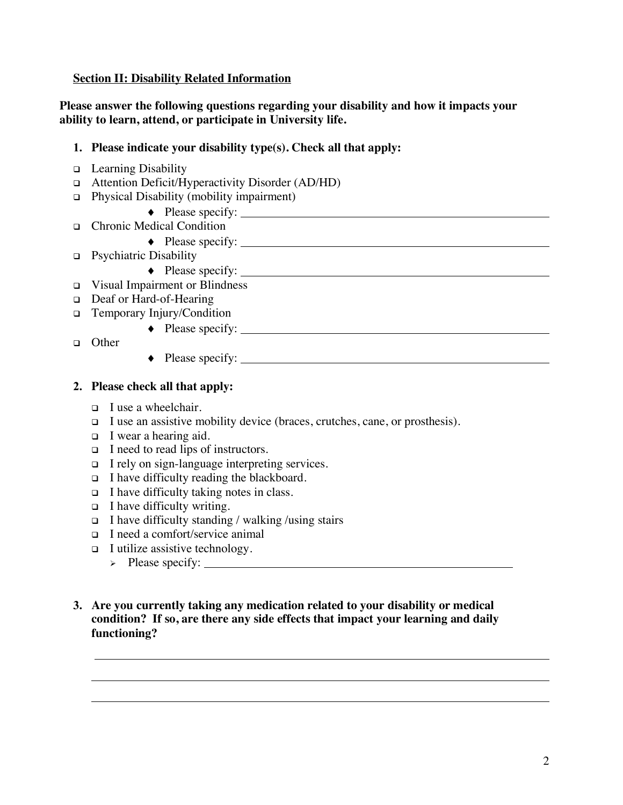**Section II: Disability Related Information** 

 **Please answer the following questions regarding your disability and how it impacts your ability to learn, attend, or participate in University life.** 

- **1. Please indicate your disability type(s). Check all that apply:**
- □ Learning Disability
- Attention Deficit/Hyperactivity Disorder (AD/HD)
- Physical Disability (mobility impairment)
	- Please specify:
- • Chronic Medical Condition
	- Please specify:
- • Psychiatric Disability
	- ¨ Please specify:
- Visual Impairment or Blindness
- □ Deaf or Hard-of-Hearing
- **I** Temporary Injury/Condition
	- Please specify:
- Other

l

◆ Please specify:

## **2. Please check all that apply:**

- $\Box$  I use a wheelchair.
- **I** use an assistive mobility device (braces, crutches, cane, or prosthesis).
- I wear a hearing aid.
- □ I need to read lips of instructors.
- □ I rely on sign-language interpreting services.
- I have difficulty reading the blackboard.
- $\Box$  I have difficulty taking notes in class.
- $\Box$  I have difficulty writing.
- I have difficulty standing / walking /using stairs
- I need a comfort/service animal
- I utilize assistive technology.
	- Please specify:
- **3. Are you currently taking any medication related to your disability or medical condition? If so, are there any side effects that impact your learning and daily functioning?**